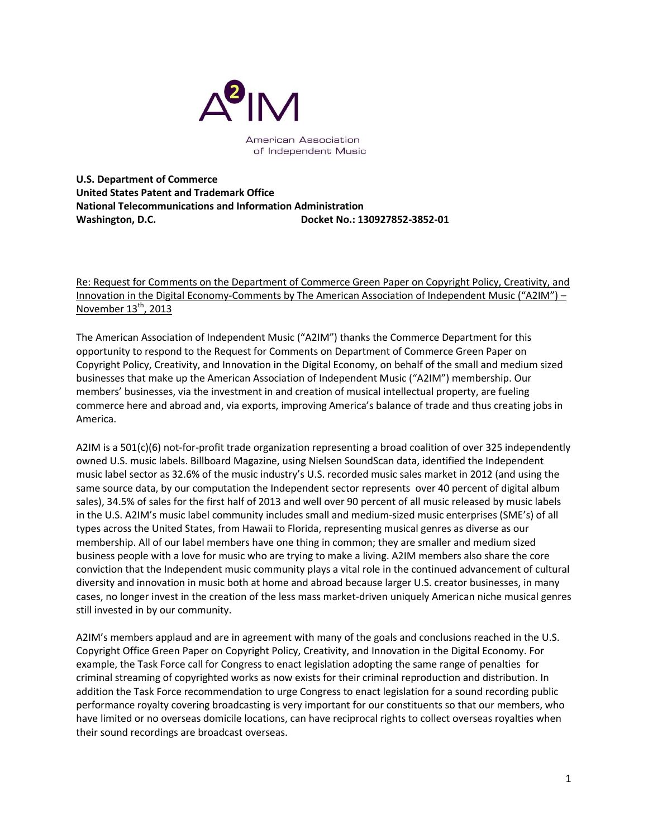

American Association of Independent Music

**U.S. Department of Commerce United States Patent and Trademark Office National Telecommunications and Information Administration Washington, D.C. Docket No.: 130927852-3852-01**

Re: Request for Comments on the Department of Commerce Green Paper on Copyright Policy, Creativity, and Innovation in the Digital Economy-Comments by The American Association of Independent Music ("A2IM") – November  $13<sup>th</sup>$ , 2013

The American Association of Independent Music ("A2IM") thanks the Commerce Department for this opportunity to respond to the Request for Comments on Department of Commerce Green Paper on Copyright Policy, Creativity, and Innovation in the Digital Economy, on behalf of the small and medium sized businesses that make up the American Association of Independent Music ("A2IM") membership. Our members' businesses, via the investment in and creation of musical intellectual property, are fueling commerce here and abroad and, via exports, improving America's balance of trade and thus creating jobs in America.

A2IM is a 501(c)(6) not-for-profit trade organization representing a broad coalition of over 325 independently owned U.S. music labels. Billboard Magazine, using Nielsen SoundScan data, identified the Independent music label sector as 32.6% of the music industry's U.S. recorded music sales market in 2012 (and using the same source data, by our computation the Independent sector represents over 40 percent of digital album sales), 34.5% of sales for the first half of 2013 and well over 90 percent of all music released by music labels in the U.S. A2IM's music label community includes small and medium-sized music enterprises (SME's) of all types across the United States, from Hawaii to Florida, representing musical genres as diverse as our membership. All of our label members have one thing in common; they are smaller and medium sized business people with a love for music who are trying to make a living. A2IM members also share the core conviction that the Independent music community plays a vital role in the continued advancement of cultural diversity and innovation in music both at home and abroad because larger U.S. creator businesses, in many cases, no longer invest in the creation of the less mass market-driven uniquely American niche musical genres still invested in by our community.

A2IM's members applaud and are in agreement with many of the goals and conclusions reached in the U.S. Copyright Office Green Paper on Copyright Policy, Creativity, and Innovation in the Digital Economy. For example, the Task Force call for Congress to enact legislation adopting the same range of penalties for criminal streaming of copyrighted works as now exists for their criminal reproduction and distribution. In addition the Task Force recommendation to urge Congress to enact legislation for a sound recording public performance royalty covering broadcasting is very important for our constituents so that our members, who have limited or no overseas domicile locations, can have reciprocal rights to collect overseas royalties when their sound recordings are broadcast overseas.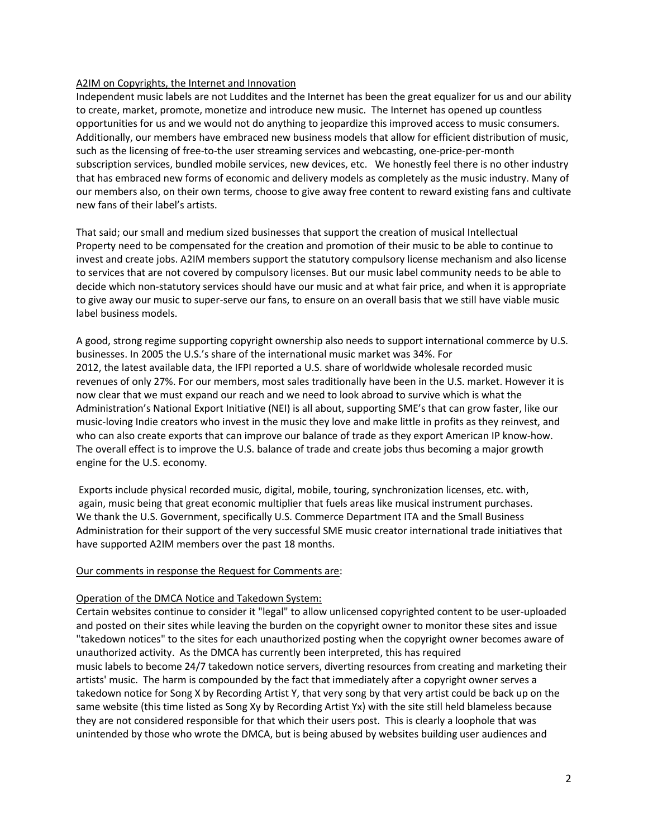# A2IM on Copyrights, the Internet and Innovation

Independent music labels are not Luddites and the Internet has been the great equalizer for us and our ability to create, market, promote, monetize and introduce new music. The Internet has opened up countless opportunities for us and we would not do anything to jeopardize this improved access to music consumers. Additionally, our members have embraced new business models that allow for efficient distribution of music, such as the licensing of free-to-the user streaming services and webcasting, one-price-per-month subscription services, bundled mobile services, new devices, etc. We honestly feel there is no other industry that has embraced new forms of economic and delivery models as completely as the music industry. Many of our members also, on their own terms, choose to give away free content to reward existing fans and cultivate new fans of their label's artists.

That said; our small and medium sized businesses that support the creation of musical Intellectual Property need to be compensated for the creation and promotion of their music to be able to continue to invest and create jobs. A2IM members support the statutory compulsory license mechanism and also license to services that are not covered by compulsory licenses. But our music label community needs to be able to decide which non-statutory services should have our music and at what fair price, and when it is appropriate to give away our music to super-serve our fans, to ensure on an overall basis that we still have viable music label business models.

A good, strong regime supporting copyright ownership also needs to support international commerce by U.S. businesses. In 2005 the U.S.'s share of the international music market was 34%. For 2012, the latest available data, the IFPI reported a U.S. share of worldwide wholesale recorded music revenues of only 27%. For our members, most sales traditionally have been in the U.S. market. However it is now clear that we must expand our reach and we need to look abroad to survive which is what the Administration's National Export Initiative (NEI) is all about, supporting SME's that can grow faster, like our music-loving Indie creators who invest in the music they love and make little in profits as they reinvest, and who can also create exports that can improve our balance of trade as they export American IP know-how. The overall effect is to improve the U.S. balance of trade and create jobs thus becoming a major growth engine for the U.S. economy.

Exports include physical recorded music, digital, mobile, touring, synchronization licenses, etc. with, again, music being that great economic multiplier that fuels areas like musical instrument purchases. We thank the U.S. Government, specifically U.S. Commerce Department ITA and the Small Business Administration for their support of the very successful SME music creator international trade initiatives that have supported A2IM members over the past 18 months.

## Our comments in response the Request for Comments are:

## Operation of the DMCA Notice and Takedown System:

Certain websites continue to consider it "legal" to allow unlicensed copyrighted content to be user-uploaded and posted on their sites while leaving the burden on the copyright owner to monitor these sites and issue "takedown notices" to the sites for each unauthorized posting when the copyright owner becomes aware of unauthorized activity. As the DMCA has currently been interpreted, this has required music labels to become 24/7 takedown notice servers, diverting resources from creating and marketing their artists' music. The harm is compounded by the fact that immediately after a copyright owner serves a takedown notice for Song X by Recording Artist Y, that very song by that very artist could be back up on the same website (this time listed as Song Xy by Recording Artist Yx) with the site still held blameless because they are not considered responsible for that which their users post. This is clearly a loophole that was unintended by those who wrote the DMCA, but is being abused by websites building user audiences and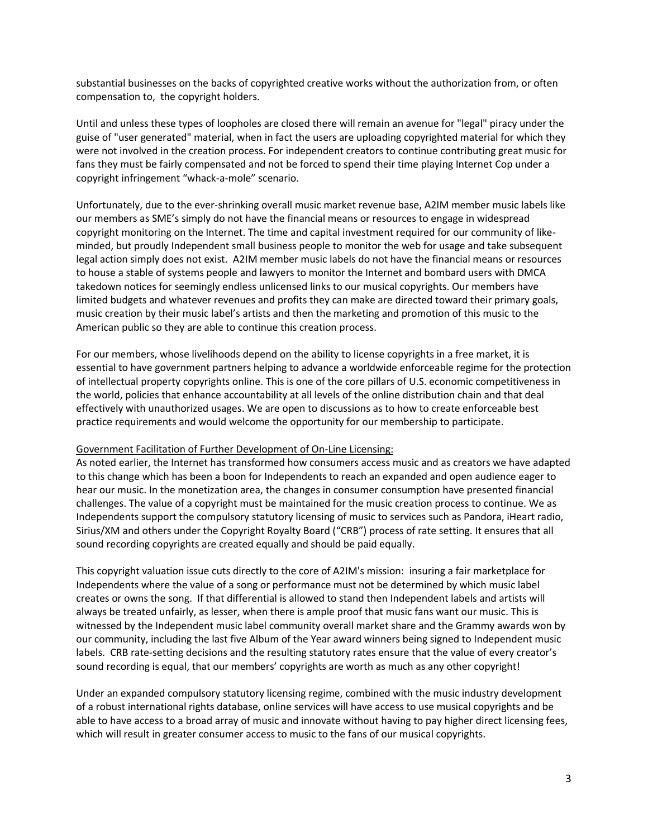substantial businesses on the backs of copyrighted creative works without the authorization from, or often compensation to, the copyright holders.

Until and unless these types of loopholes are closed there will remain an avenue for "legal" piracy under the guise of "user generated" material, when in fact the users are uploading copyrighted material for which they were not involved in the creation process. For independent creators to continue contributing great music for fans they must be fairly compensated and not be forced to spend their time playing Internet Cop under a copyright infringement "whack-a-mole" scenario.

Unfortunately, due to the ever-shrinking overall music market revenue base, A2IM member music labels like our members as SME's simply do not have the financial means or resources to engage in widespread copyright monitoring on the Internet. The time and capital investment required for our community of likeminded, but proudly Independent small business people to monitor the web for usage and take subsequent legal action simply does not exist. A2IM member music labels do not have the financial means or resources to house a stable of systems people and lawyers to monitor the Internet and bombard users with DMCA takedown notices for seemingly endless unlicensed links to our musical copyrights. Our members have limited budgets and whatever revenues and profits they can make are directed toward their primary goals, music creation by their music label's artists and then the marketing and promotion of this music to the American public so they are able to continue this creation process.

For our members, whose livelihoods depend on the ability to license copyrights in a free market, it is essential to have government partners helping to advance a worldwide enforceable regime for the protection of intellectual property copyrights online. This is one of the core pillars of U.S. economic competitiveness in the world, policies that enhance accountability at all levels of the online distribution chain and that deal effectively with unauthorized usages. We are open to discussions as to how to create enforceable best practice requirements and would welcome the opportunity for our membership to participate.

## Government Facilitation of Further Development of On-Line Licensing:

As noted earlier, the Internet has transformed how consumers access music and as creators we have adapted to this change which has been a boon for Independents to reach an expanded and open audience eager to hear our music. In the monetization area, the changes in consumer consumption have presented financial challenges. The value of a copyright must be maintained for the music creation process to continue. We as Independents support the compulsory statutory licensing of music to services such as Pandora, iHeart radio, Sirius/XM and others under the Copyright Royalty Board ("CRB") process of rate setting. It ensures that all sound recording copyrights are created equally and should be paid equally.

This copyright valuation issue cuts directly to the core of A2IM's mission: insuring a fair marketplace for Independents where the value of a song or performance must not be determined by which music label creates or owns the song. If that differential is allowed to stand then Independent labels and artists will always be treated unfairly, as lesser, when there is ample proof that music fans want our music. This is witnessed by the Independent music label community overall market share and the Grammy awards won by our community, including the last five Album of the Year award winners being signed to Independent music labels. CRB rate-setting decisions and the resulting statutory rates ensure that the value of every creator's sound recording is equal, that our members' copyrights are worth as much as any other copyright!

Under an expanded compulsory statutory licensing regime, combined with the music industry development of a robust international rights database, online services will have access to use musical copyrights and be able to have access to a broad array of music and innovate without having to pay higher direct licensing fees, which will result in greater consumer access to music to the fans of our musical copyrights.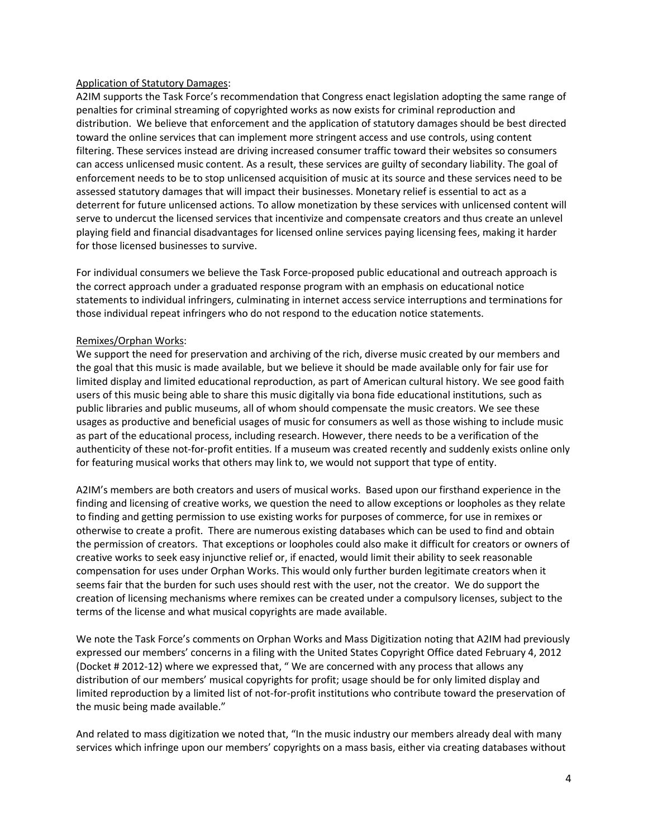# Application of Statutory Damages:

A2IM supports the Task Force's recommendation that Congress enact legislation adopting the same range of penalties for criminal streaming of copyrighted works as now exists for criminal reproduction and distribution. We believe that enforcement and the application of statutory damages should be best directed toward the online services that can implement more stringent access and use controls, using content filtering. These services instead are driving increased consumer traffic toward their websites so consumers can access unlicensed music content. As a result, these services are guilty of secondary liability. The goal of enforcement needs to be to stop unlicensed acquisition of music at its source and these services need to be assessed statutory damages that will impact their businesses. Monetary relief is essential to act as a deterrent for future unlicensed actions. To allow monetization by these services with unlicensed content will serve to undercut the licensed services that incentivize and compensate creators and thus create an unlevel playing field and financial disadvantages for licensed online services paying licensing fees, making it harder for those licensed businesses to survive.

For individual consumers we believe the Task Force-proposed public educational and outreach approach is the correct approach under a graduated response program with an emphasis on educational notice statements to individual infringers, culminating in internet access service interruptions and terminations for those individual repeat infringers who do not respond to the education notice statements.

# Remixes/Orphan Works:

We support the need for preservation and archiving of the rich, diverse music created by our members and the goal that this music is made available, but we believe it should be made available only for fair use for limited display and limited educational reproduction, as part of American cultural history. We see good faith users of this music being able to share this music digitally via bona fide educational institutions, such as public libraries and public museums, all of whom should compensate the music creators. We see these usages as productive and beneficial usages of music for consumers as well as those wishing to include music as part of the educational process, including research. However, there needs to be a verification of the authenticity of these not-for-profit entities. If a museum was created recently and suddenly exists online only for featuring musical works that others may link to, we would not support that type of entity.

A2IM's members are both creators and users of musical works. Based upon our firsthand experience in the finding and licensing of creative works, we question the need to allow exceptions or loopholes as they relate to finding and getting permission to use existing works for purposes of commerce, for use in remixes or otherwise to create a profit. There are numerous existing databases which can be used to find and obtain the permission of creators. That exceptions or loopholes could also make it difficult for creators or owners of creative works to seek easy injunctive relief or, if enacted, would limit their ability to seek reasonable compensation for uses under Orphan Works. This would only further burden legitimate creators when it seems fair that the burden for such uses should rest with the user, not the creator. We do support the creation of licensing mechanisms where remixes can be created under a compulsory licenses, subject to the terms of the license and what musical copyrights are made available.

We note the Task Force's comments on Orphan Works and Mass Digitization noting that A2IM had previously expressed our members' concerns in a filing with the United States Copyright Office dated February 4, 2012 (Docket # 2012-12) where we expressed that, " We are concerned with any process that allows any distribution of our members' musical copyrights for profit; usage should be for only limited display and limited reproduction by a limited list of not-for-profit institutions who contribute toward the preservation of the music being made available."

And related to mass digitization we noted that, "In the music industry our members already deal with many services which infringe upon our members' copyrights on a mass basis, either via creating databases without